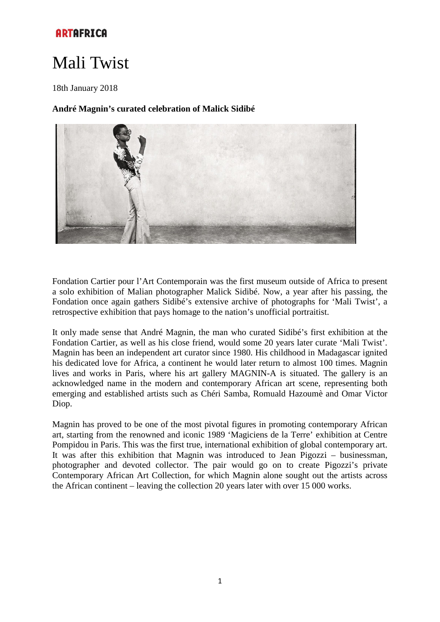# Mali Twist

18th January 2018

## **André Magnin's curated celebration of Malick Sidibé**



Fondation Cartier pour l'Art Contemporain was the first museum outside of Africa to present a solo exhibition of Malian photographer Malick Sidibé. Now, a year after his passing, the Fondation once again gathers Sidibé's extensive archive of photographs for 'Mali Twist', a retrospective exhibition that pays homage to the nation's unofficial portraitist.

It only made sense that André Magnin, the man who curated Sidibé's first exhibition at the Fondation Cartier, as well as his close friend, would some 20 years later curate 'Mali Twist'. Magnin has been an independent art curator since 1980. His childhood in Madagascar ignited his dedicated love for Africa, a continent he would later return to almost 100 times. Magnin lives and works in Paris, where his art gallery MAGNIN-A is situated. The gallery is an acknowledged name in the modern and contemporary African art scene, representing both emerging and established artists such as Chéri Samba, Romuald Hazoumè and Omar Victor Diop.

Magnin has proved to be one of the most pivotal figures in promoting contemporary African art, starting from the renowned and iconic 1989 'Magiciens de la Terre' exhibition at Centre Pompidou in Paris. This was the first true, international exhibition of global contemporary art. It was after this exhibition that Magnin was introduced to Jean Pigozzi – businessman, photographer and devoted collector. The pair would go on to create Pigozzi's private Contemporary African Art Collection, for which Magnin alone sought out the artists across the African continent – leaving the collection 20 years later with over 15 000 works.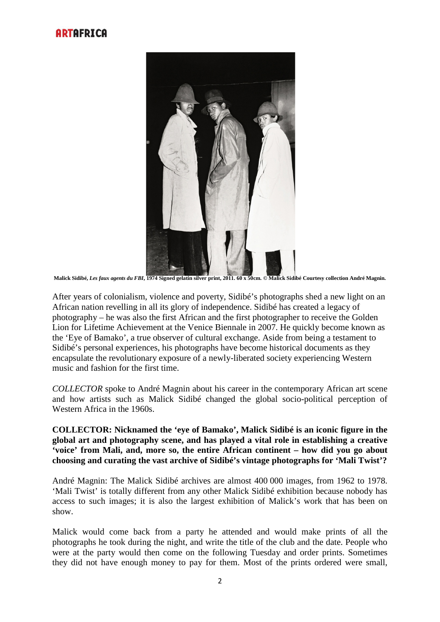

**Malick Sidibé,** *Les faux agents du FBI***, 1974 Signed gelatin silver print, 2011. 60 x 50cm. © Malick Sidibé Courtesy collection André Magnin.**

After years of colonialism, violence and poverty, Sidibé's photographs shed a new light on an African nation revelling in all its glory of independence. Sidibé has created a legacy of photography – he was also the first African and the first photographer to receive the Golden Lion for Lifetime Achievement at the Venice Biennale in 2007. He quickly become known as the 'Eye of Bamako', a true observer of cultural exchange. Aside from being a testament to Sidibé's personal experiences, his photographs have become historical documents as they encapsulate the revolutionary exposure of a newly-liberated society experiencing Western music and fashion for the first time.

*COLLECTOR* spoke to André Magnin about his career in the contemporary African art scene and how artists such as Malick Sidibé changed the global socio-political perception of Western Africa in the 1960s.

## **COLLECTOR: Nicknamed the 'eye of Bamako', Malick Sidibé is an iconic figure in the global art and photography scene, and has played a vital role in establishing a creative 'voice' from Mali, and, more so, the entire African continent – how did you go about choosing and curating the vast archive of Sidibé's vintage photographs for 'Mali Twist'?**

André Magnin: The Malick Sidibé archives are almost 400 000 images, from 1962 to 1978. 'Mali Twist' is totally different from any other Malick Sidibé exhibition because nobody has access to such images; it is also the largest exhibition of Malick's work that has been on show.

Malick would come back from a party he attended and would make prints of all the photographs he took during the night, and write the title of the club and the date. People who were at the party would then come on the following Tuesday and order prints. Sometimes they did not have enough money to pay for them. Most of the prints ordered were small,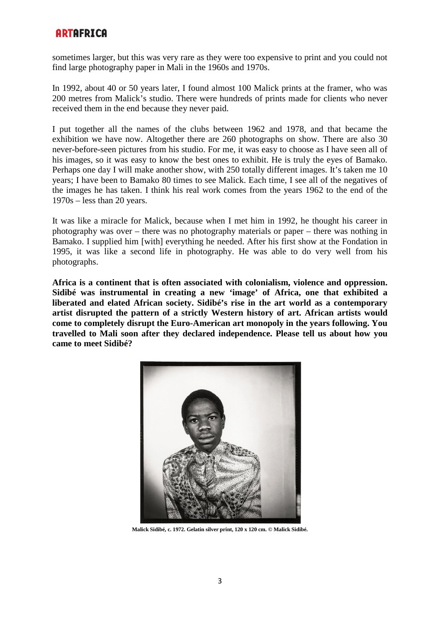sometimes larger, but this was very rare as they were too expensive to print and you could not find large photography paper in Mali in the 1960s and 1970s.

In 1992, about 40 or 50 years later, I found almost 100 Malick prints at the framer, who was 200 metres from Malick's studio. There were hundreds of prints made for clients who never received them in the end because they never paid.

I put together all the names of the clubs between 1962 and 1978, and that became the exhibition we have now. Altogether there are 260 photographs on show. There are also 30 never-before-seen pictures from his studio. For me, it was easy to choose as I have seen all of his images, so it was easy to know the best ones to exhibit. He is truly the eyes of Bamako. Perhaps one day I will make another show, with 250 totally different images. It's taken me 10 years; I have been to Bamako 80 times to see Malick. Each time, I see all of the negatives of the images he has taken. I think his real work comes from the years 1962 to the end of the 1970s – less than 20 years.

It was like a miracle for Malick, because when I met him in 1992, he thought his career in photography was over – there was no photography materials or paper – there was nothing in Bamako. I supplied him [with] everything he needed. After his first show at the Fondation in 1995, it was like a second life in photography. He was able to do very well from his photographs.

**Africa is a continent that is often associated with colonialism, violence and oppression. Sidibé was instrumental in creating a new 'image' of Africa, one that exhibited a liberated and elated African society. Sidibé's rise in the art world as a contemporary artist disrupted the pattern of a strictly Western history of art. African artists would come to completely disrupt the Euro-American art monopoly in the years following. You travelled to Mali soon after they declared independence. Please tell us about how you came to meet Sidibé?**



**Malick Sidibé, c. 1972. Gelatin silver print, 120 x 120 cm. © Malick Sidibé.**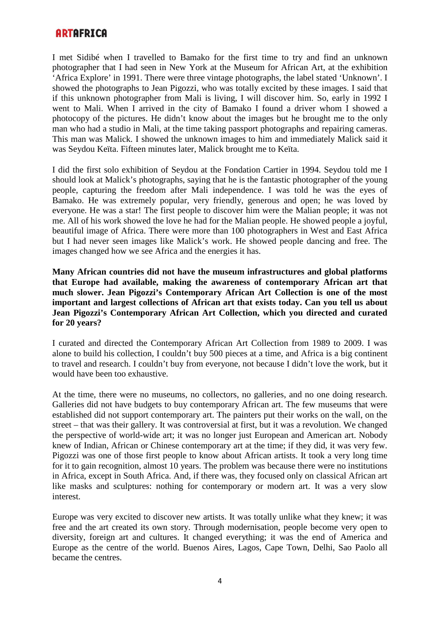I met Sidibé when I travelled to Bamako for the first time to try and find an unknown photographer that I had seen in New York at the Museum for African Art, at the exhibition 'Africa Explore' in 1991. There were three vintage photographs, the label stated 'Unknown'. I showed the photographs to Jean Pigozzi, who was totally excited by these images. I said that if this unknown photographer from Mali is living, I will discover him. So, early in 1992 I went to Mali. When I arrived in the city of Bamako I found a driver whom I showed a photocopy of the pictures. He didn't know about the images but he brought me to the only man who had a studio in Mali, at the time taking passport photographs and repairing cameras. This man was Malick. I showed the unknown images to him and immediately Malick said it was Seydou Keïta. Fifteen minutes later, Malick brought me to Keïta.

I did the first solo exhibition of Seydou at the Fondation Cartier in 1994. Seydou told me I should look at Malick's photographs, saying that he is the fantastic photographer of the young people, capturing the freedom after Mali independence. I was told he was the eyes of Bamako. He was extremely popular, very friendly, generous and open; he was loved by everyone. He was a star! The first people to discover him were the Malian people; it was not me. All of his work showed the love he had for the Malian people. He showed people a joyful, beautiful image of Africa. There were more than 100 photographers in West and East Africa but I had never seen images like Malick's work. He showed people dancing and free. The images changed how we see Africa and the energies it has.

**Many African countries did not have the museum infrastructures and global platforms that Europe had available, making the awareness of contemporary African art that much slower. Jean Pigozzi's Contemporary African Art Collection is one of the most important and largest collections of African art that exists today. Can you tell us about Jean Pigozzi's Contemporary African Art Collection, which you directed and curated for 20 years?** 

I curated and directed the Contemporary African Art Collection from 1989 to 2009. I was alone to build his collection, I couldn't buy 500 pieces at a time, and Africa is a big continent to travel and research. I couldn't buy from everyone, not because I didn't love the work, but it would have been too exhaustive.

At the time, there were no museums, no collectors, no galleries, and no one doing research. Galleries did not have budgets to buy contemporary African art. The few museums that were established did not support contemporary art. The painters put their works on the wall, on the street – that was their gallery. It was controversial at first, but it was a revolution. We changed the perspective of world-wide art; it was no longer just European and American art. Nobody knew of Indian, African or Chinese contemporary art at the time; if they did, it was very few. Pigozzi was one of those first people to know about African artists. It took a very long time for it to gain recognition, almost 10 years. The problem was because there were no institutions in Africa, except in South Africa. And, if there was, they focused only on classical African art like masks and sculptures: nothing for contemporary or modern art. It was a very slow interest.

Europe was very excited to discover new artists. It was totally unlike what they knew; it was free and the art created its own story. Through modernisation, people become very open to diversity, foreign art and cultures. It changed everything; it was the end of America and Europe as the centre of the world. Buenos Aires, Lagos, Cape Town, Delhi, Sao Paolo all became the centres.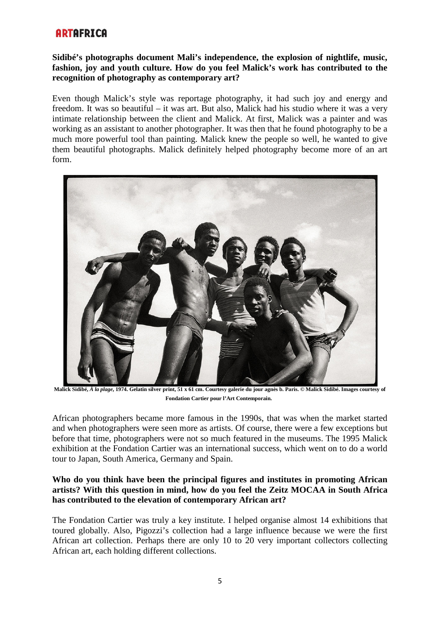## **Sidibé's photographs document Mali's independence, the explosion of nightlife, music, fashion, joy and youth culture. How do you feel Malick's work has contributed to the recognition of photography as contemporary art?**

Even though Malick's style was reportage photography, it had such joy and energy and freedom. It was so beautiful – it was art. But also, Malick had his studio where it was a very intimate relationship between the client and Malick. At first, Malick was a painter and was working as an assistant to another photographer. It was then that he found photography to be a much more powerful tool than painting. Malick knew the people so well, he wanted to give them beautiful photographs. Malick definitely helped photography become more of an art form.



**Malick Sidibé,** *À la plage***, 1974. Gelatin silver print, 51 x 61 cm. Courtesy galerie du jour agnès b. Paris. © Malick Sidibé. Images courtesy of Fondation Cartier pour l'Art Contemporain.**

African photographers became more famous in the 1990s, that was when the market started and when photographers were seen more as artists. Of course, there were a few exceptions but before that time, photographers were not so much featured in the museums. The 1995 Malick exhibition at the Fondation Cartier was an international success, which went on to do a world tour to Japan, South America, Germany and Spain.

## **Who do you think have been the principal figures and institutes in promoting African artists? With this question in mind, how do you feel the Zeitz MOCAA in South Africa has contributed to the elevation of contemporary African art?**

The Fondation Cartier was truly a key institute. I helped organise almost 14 exhibitions that toured globally. Also, Pigozzi's collection had a large influence because we were the first African art collection. Perhaps there are only 10 to 20 very important collectors collecting African art, each holding different collections.